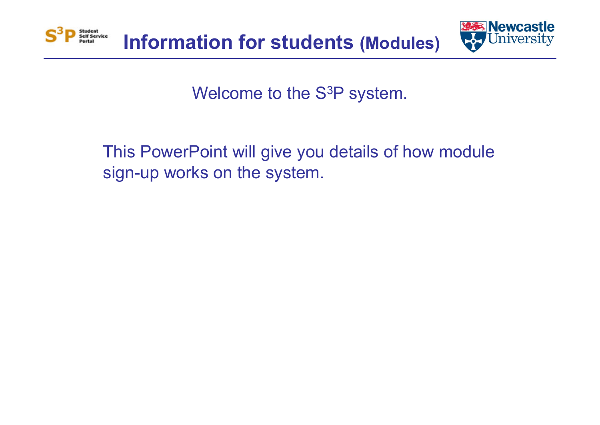



Welcome to the S 3P system.

This PowerPoint will give you details of how module sign-up works on the system.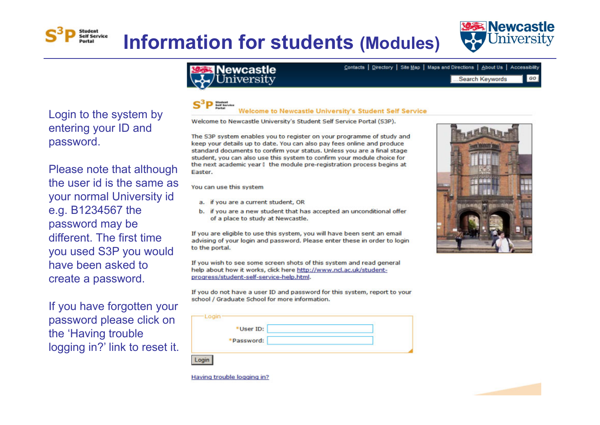

 $GO$ 

Login to the system by entering your ID and password.

Self Service

Please note that although the user id is the same as your normal University id e.g. B1234567 the password may be different. The first time you used S3P you would have been asked to create a password.

If you have forgotten your password please click on the 'Having trouble logging in?' link to reset it.

## Newcastle iversity

Contacts | Directory | Site Map | Maps and Directions | About Us | Accessibility

...Search Keywords

## **Welcome to Newcastle University's Student Self Service**

Welcome to Newcastle University's Student Self Service Portal (S3P).

The S3P system enables you to register on your programme of study and keep your details up to date. You can also pay fees online and produce standard documents to confirm your status. Unless you are a final stage student, you can also use this system to confirm your module choice for the next academic year I the module pre-registration process begins at Easter.

You can use this system

- a. if you are a current student, OR
- b. if you are a new student that has accepted an unconditional offer of a place to study at Newcastle.

If you are eligible to use this system, you will have been sent an email advising of your login and password. Please enter these in order to login to the portal.

If you wish to see some screen shots of this system and read general help about how it works, click here http://www.nd.ac.uk/studentprogress/student-self-service-help.html.

If you do not have a user ID and password for this system, report to your school / Graduate School for more information.

| Login |           |  |
|-------|-----------|--|
|       | *User ID: |  |
|       | Password: |  |
|       |           |  |



Having trouble logging in?



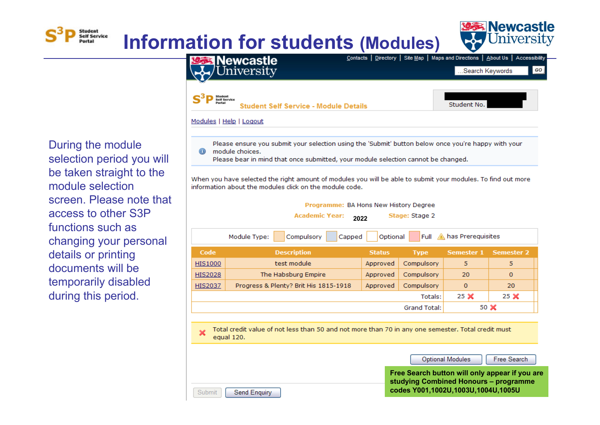



During the module selection period you will be taken straight to the module selection screen. Please note that access to other S3P functions such as changing your personal details or printing documents will be temporarily disabled during this period.

Submit

Send Enquiry

**Student** Self Service



When you have selected the right amount of modules you will be able to submit your modules. To find out more information about the modules click on the module code.

| Programme: BA Hons New History Degree<br><b>Academic Year:</b><br>Stage: Stage 2<br>2022 |                                                                                                                  |               |                  |                   |                   |  |
|------------------------------------------------------------------------------------------|------------------------------------------------------------------------------------------------------------------|---------------|------------------|-------------------|-------------------|--|
|                                                                                          | Compulsory<br>Module Type:<br>Capped                                                                             | Optional      | Full $\mathbb A$ | has Prereguisites |                   |  |
| Code                                                                                     | <b>Description</b>                                                                                               | <b>Status</b> | <b>Type</b>      | <b>Semester 1</b> | <b>Semester 2</b> |  |
| <b>HIS1000</b>                                                                           | test module                                                                                                      | Approved      | Compulsory       | 5                 | 5                 |  |
| <b>HIS2028</b>                                                                           | The Habsburg Empire                                                                                              | Approved      | Compulsory       | 20                | $\mathbf{0}$      |  |
| <b>HIS2037</b>                                                                           | Progress & Plenty? Brit His 1815-1918                                                                            | Approved      | Compulsory       | $\mathbf{0}$      | 20                |  |
|                                                                                          |                                                                                                                  |               | Totals:          | 25 <sup>2</sup>   | 25 <sup>2</sup>   |  |
| 50 X<br>Grand Total:                                                                     |                                                                                                                  |               |                  |                   |                   |  |
|                                                                                          |                                                                                                                  |               |                  |                   |                   |  |
|                                                                                          | Total credit value of not less than 50 and not more than 70 in any one semester. Total credit must<br>equal 120. |               |                  |                   |                   |  |

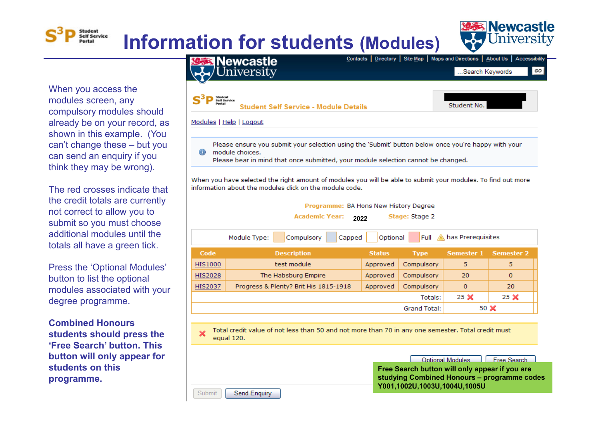

When you access the modules screen, any compulsory modules should already be on your record, as shown in this example. (You can't change these – but you can send an enquiry if you think they may be wrong).

Student Self Service

The red crosses indicate that the credit totals are currently not correct to allow you to submit so you must choose additional modules until the totals all have a green tick.

Press the 'Optional Modules' button to list the optional modules associated with your degree programme.

**Combined Honours students should press the 'Free Search' button. This button will only appear for students on this programme.**

Submit

Send Enquiry



When you have selected the right amount of modules you will be able to submit your modules. To find out more information about the modules click on the module code.

| Programme: BA Hons New History Degree<br><b>Academic Year:</b><br>Stage: Stage 2<br>2022 |                                                                                              |          |            |             |                 |  |
|------------------------------------------------------------------------------------------|----------------------------------------------------------------------------------------------|----------|------------|-------------|-----------------|--|
| Full A has Prerequisites<br>Compulsory<br>Module Type:<br>Optional<br>Capped             |                                                                                              |          |            |             |                 |  |
| Code                                                                                     | <b>Description</b><br><b>Semester 1</b><br><b>Semester 2</b><br><b>Type</b><br><b>Status</b> |          |            |             |                 |  |
| <b>HIS1000</b>                                                                           | test module                                                                                  | Approved | Compulsory | 5           | 5               |  |
| <b>HIS2028</b>                                                                           | The Habsburg Empire                                                                          | Approved | Compulsory | 20          | $\mathbf{0}$    |  |
| <b>HIS2037</b>                                                                           | Progress & Plenty? Brit His 1815-1918                                                        | Approved | Compulsory | $\mathbf 0$ | 20              |  |
|                                                                                          | Totals:                                                                                      |          |            |             | 25 <sup>2</sup> |  |
|                                                                                          | <b>Grand Total:</b>                                                                          |          |            |             | 50 X            |  |

Total credit value of not less than 50 and not more than 70 in any one semester. Total credit must equal 120.

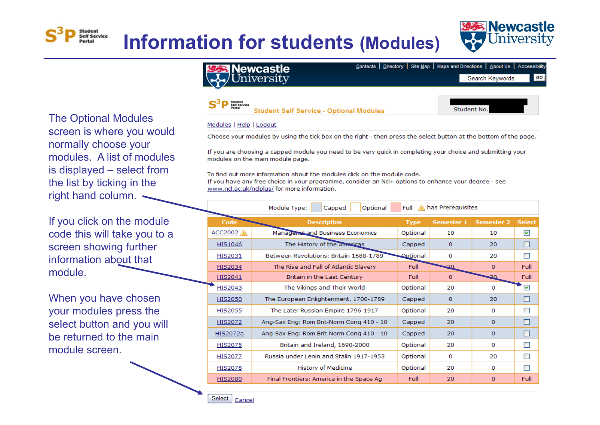

**Student No** 

The Optional Modules screen is where you would normally choose your modules. A list of modules is displayed – select from the list by ticking in the right hand column. .

Student Self Service

If you click on the module code this will take you to a screen showing further information about that module.

When you have chosen your modules press the select button and you will be returned to the main module screen.



Modules | Help | Logout

Choose your modules by using the tick box on the right - then press the select button at the bottom of the page.

If you are choosing a capped module you need to be very quick in completing your choice and submitting your modules on the main module page.

To find out more information about the modules click on the module code. If you have any free choice in your programme, consider an Ncl+ options to enhance your degree - see www.ncl.ac.uk/nclplus/ for more information.

**Student Self Service - Optional Modules** 

| Optional<br>Module Type:<br>Full<br>has Prereguisites<br>Capped |                                          |                 |                   |                   |                      |  |  |
|-----------------------------------------------------------------|------------------------------------------|-----------------|-------------------|-------------------|----------------------|--|--|
| <b>Code</b>                                                     | <b>Description</b>                       | <b>Type</b>     | <b>Semester 1</b> | <b>Semester 2</b> | <b>Select</b>        |  |  |
| $ACC2002$ $\land$                                               | Managerial and Business Economics        | Optional        | 10                | 10                | $\blacktriangledown$ |  |  |
| HIS1046                                                         | The History of the Americas              | Capped          | $\mathbf 0$       | 20                | П                    |  |  |
| HIS2031                                                         | Between Revolutions: Britain 1688-1789   | <b>Optional</b> | $\Omega$          | 20                | <b>The Second</b>    |  |  |
| <b>HIS2034</b>                                                  | The Rise and Fall of Atlantic Slavery    | Full            | -20               | $\Omega$          | Full                 |  |  |
| HIS2041                                                         | Britain in the Last Century              | Full            | $\Omega$          | 20                | Full                 |  |  |
| HIS2043                                                         | The Vikings and Their World              | Optional        | 20                | 0                 | ☑                    |  |  |
| <b>HIS2050</b>                                                  | The European Enlightenment, 1700-1789    | Capped          | $\Omega$          | 20                |                      |  |  |
| <b>HIS2055</b>                                                  | The Later Russian Empire 1796-1917       | Optional        | 20                | $\Omega$          | <b>The Second</b>    |  |  |
| HIS2072                                                         | Ang-Sax Eng: Rom Brit-Norm Cong 410 - 10 | Capped          | 20                | $\bf{0}$          | <b>I</b>             |  |  |
| HIS2072a                                                        | Ang-Sax Eng: Rom Brit-Norm Cong 410 - 10 | Capped          | 20                | $\mathbf{0}$      | I.                   |  |  |
| <b>HIS2075</b>                                                  | Britain and Ireland, 1690-2000           | Optional        | 20                | 0                 | <b>COL</b>           |  |  |
| <b>HIS2077</b>                                                  | Russia under Lenin and Stalin 1917-1953  | Optional        | 0                 | 20                | ш                    |  |  |
| <b>HIS2078</b>                                                  | <b>History of Medicine</b>               | Optional        | 20                | 0                 |                      |  |  |
| <b>HIS2080</b>                                                  | Final Frontiers: America in the Space Ag | Full            | 20                | $\mathbf 0$       | Full                 |  |  |

Select Cancel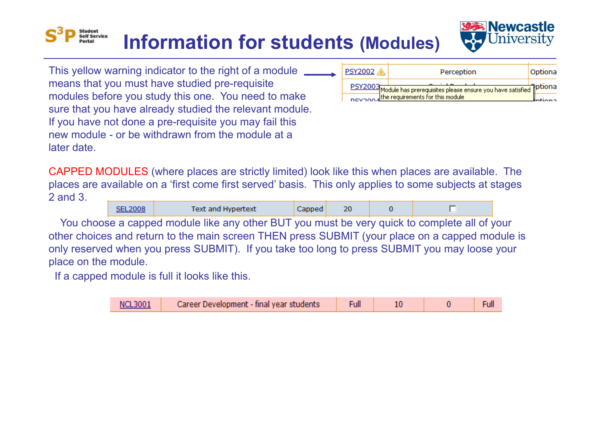## Self Service **Information for students (Modules)**



This yellow warning indicator to the right of a module \_\_\_\_\_\_ means that you must have studied pre-requisite modules before you study this one. You need to make sure that you have already studied the relevant module. If you have not done a pre-requisite you may fail this new module - or be withdrawn from the module at a later date.

**Student** 

| <b>PSY2002</b> | Perception                                                                                                    | Optiona |
|----------------|---------------------------------------------------------------------------------------------------------------|---------|
|                | PSY2003 Module has prerequisites please ensure you have satisfied<br>Devano differequirements for this module |         |
|                |                                                                                                               |         |

CAPPED MODULES (where places are strictly limited) look like this when places are available. The places are available on a 'first come first served' basis. This only applies to some subjects at stages 2 and 3.

|  | Text and Hypertext | ∕anned / | 20 |  |
|--|--------------------|----------|----|--|
|  |                    |          |    |  |

You choose a capped module like any other BUT you must be very quick to complete all of your other choices and return to the main screen THEN press SUBMIT (your place on a capped module is only reserved when you press SUBMIT). If you take too long to press SUBMIT you may loose your place on the module.

If a capped module is full it looks like this.

| <b>NCL3001</b> | Career Development - final year students |  |  |  |  |
|----------------|------------------------------------------|--|--|--|--|
|----------------|------------------------------------------|--|--|--|--|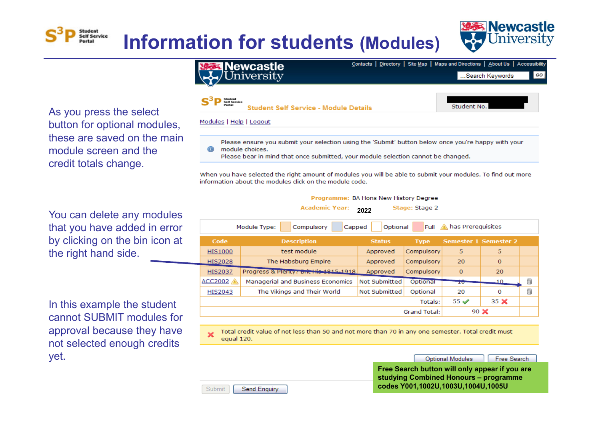

As you press the select button for optional modules, these are saved on the main module screen and the credit totals change.

Student

Self Service

You can delete any modules that you have added in error by clicking on the bin icon at the right hand side.

In this example the student cannot SUBMIT modules for approval because they have not selected enough credits yet.



module choices. Please bear in mind that once submitted, your module selection cannot be changed.

When you have selected the right amount of modules you will be able to submit your modules. To find out more information about the modules click on the module code.

Programme: BA Hons New History Degree

| <b>Academic Year:</b><br>Stage: Stage 2<br>2022                              |                                       |                      |              |           |                              |   |  |
|------------------------------------------------------------------------------|---------------------------------------|----------------------|--------------|-----------|------------------------------|---|--|
| Full A has Prerequisites<br>Module Type:<br>Compulsory<br>Optional<br>Capped |                                       |                      |              |           |                              |   |  |
| Code                                                                         | <b>Description</b>                    | <b>Status</b>        | <b>Type</b>  |           | <b>Semester 1 Semester 2</b> |   |  |
| <b>HIS1000</b>                                                               | test module                           | Approved             | Compulsory   | 5         | 5                            |   |  |
| <b>HIS2028</b>                                                               | The Habsburg Empire                   | Approved             | Compulsory   | 20        | $\circ$                      |   |  |
| <b>HIS2037</b>                                                               | Progress & Plenty: Brit His 1915-1918 | Approved             | Compulsory   | $\circ$   | 20                           |   |  |
| ACC2002                                                                      | Managerial and Business Economics     | <b>Not Submitted</b> | Optional     | <b>IV</b> | 10                           | ü |  |
| <b>HIS2043</b>                                                               | The Vikings and Their World           | <b>Not Submitted</b> | Optional     | 20        | 0                            | ü |  |
|                                                                              | Totals:                               |                      |              |           | 35 <sup>2</sup>              |   |  |
|                                                                              |                                       |                      | Grand Total: |           | 90 $\chi$                    |   |  |

Total credit value of not less than 50 and not more than 70 in any one semester. Total credit must equal 120.

> **Optional Modules** Free Search

**Free Search button will only appear if you are studying Combined Honours – programme codes Y001,1002U,1003U,1004U,1005U**

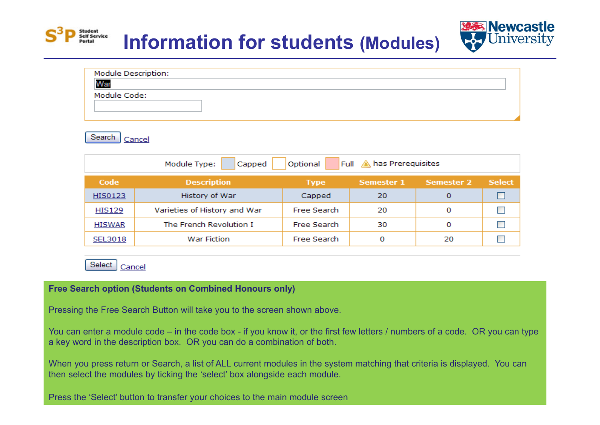

| <b>Module Description:</b> |  |
|----------------------------|--|
| War                        |  |
| Module Code:               |  |
|                            |  |
|                            |  |



Student<br>Self Service

| Full 4 has Prerequisites<br>Optional<br>Module Type:<br>Capped |                              |                    |                   |            |               |  |
|----------------------------------------------------------------|------------------------------|--------------------|-------------------|------------|---------------|--|
| Code                                                           | <b>Description</b>           | <b>Type</b>        | <b>Semester 1</b> | Semester 2 | <b>Select</b> |  |
| HIS0123                                                        | History of War               | Capped             | 20                | 0          |               |  |
| <b>HIS129</b>                                                  | Varieties of History and War | <b>Free Search</b> | 20                | 0          |               |  |
| <b>HISWAR</b>                                                  | The French Revolution I      | Free Search        | 30                | 0          |               |  |
| SEL3018                                                        | <b>War Fiction</b>           | Free Search        | O                 | 20         |               |  |

Select | Cancel

### **Free Search option (Students on Combined Honours only)**

Pressing the Free Search Button will take you to the screen shown above.

You can enter a module code – in the code box - if you know it, or the first few letters / numbers of a code. OR you can type a key word in the description box. OR you can do a combination of both.

When you press return or Search, a list of ALL current modules in the system matching that criteria is displayed. You can then select the modules by ticking the 'select' box alongside each module.

Press the 'Select' button to transfer your choices to the main module screen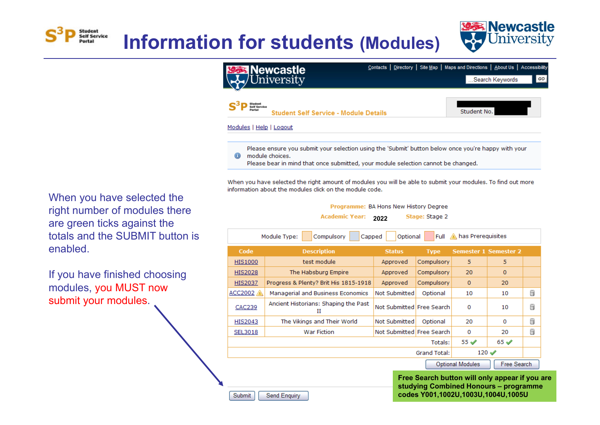

When you have selected the right number of modules there are green ticks against the totals and the SUBMIT button is enabled.

Student Self Service

If you have finished choosing modules, you MUST now submit your modules.

Contacts | Directory | Site Map | Maps and Directions | About Us | Accessibility **Newcastle** iversitv ...Search Keywords GO Student<br>P Self Service Student No. **Student Self Service - Module Details** Modules | Help | Logout Please ensure you submit your selection using the 'Submit' button below once you're happy with your  $^{\circ}$ module choices. Please bear in mind that once submitted, your module selection cannot be changed.

When you have selected the right amount of modules you will be able to submit your modules. To find out more information about the modules click on the module code.

> Programme: BA Hons New History Degree **Academic Year:** Stage: Stage 2 **2022**

Compulsory has Prerequisites Module Type: Capped Optional Full Code **Description Status Semester 1 Semester 2 Type HIS1000** test module Approved Compulsory 5  $5<sup>1</sup>$ **HIS2028** The Habsburg Empire Compulsory 20  $\Omega$ Approved **HIS2037** Progress & Plenty? Brit His 1815-1918 Approved Compulsory  $\overline{0}$ 20 ü ACC2002 Managerial and Business Economics Not Submitted Optional 10  $10$ Ancient Historians: Shaping the Past **CAC239** Not Submitted Free Search  $\Omega$ 10 찮  $\mathbf{H}$ ü **HIS2043** The Vikings and Their World Not Submitted Optional 20  $\Omega$ ü **SEL3018 War Fiction** Not Submitted Free Search  $\Omega$ 20  $55<sub>4</sub>$  $65 \omega$ Totals:  $120 \triangleleft$ **Grand Total: Optional Modules** Free Search

> **Free Search button will only appear if you are studying Combined Honours – programme codes Y001,1002U,1003U,1004U,1005U**

Submit Send Enquiry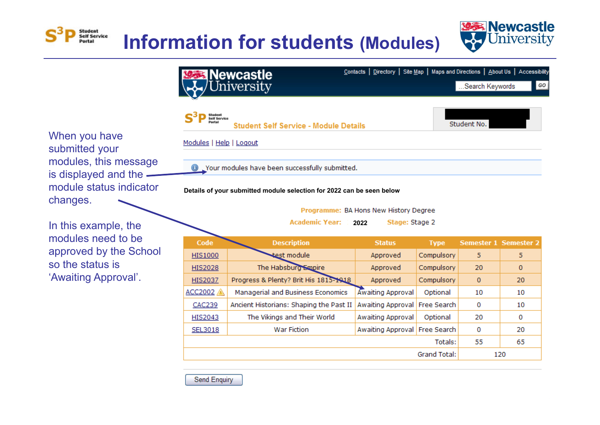



GO



**2011 Details of your submitted module selection for 2022 can be seen below**

Programme: BA Hons New History Degree

**Academic Year: 2022**Stage: Stage 2

| Code           | <b>Description</b>                      | <b>Status</b>                 | <b>Type</b>  | <b>Semester 1 Semester 2</b> |              |  |
|----------------|-----------------------------------------|-------------------------------|--------------|------------------------------|--------------|--|
| <b>HIS1000</b> | test module                             | Approved                      | Compulsory   | 5                            | 5            |  |
| <b>HIS2028</b> | The Habsburg Empire                     | Approved                      | Compulsory   | 20                           | $\mathbf{0}$ |  |
| <b>HIS2037</b> | Progress & Plenty? Brit His 1815-1918   | Approved                      | Compulsory   | $\mathbf{0}$                 | 20           |  |
| ACC2002        | Managerial and Business Economics       | Awaiting Approval             | Optional     | 10                           | 10           |  |
| <b>CAC239</b>  | Ancient Historians: Shaping the Past II | Awaiting Approval Free Search |              | 0                            | 10           |  |
| <b>HIS2043</b> | The Vikings and Their World             | Awaiting Approval             | Optional     | 20                           | 0            |  |
| SEL3018        | <b>War Fiction</b>                      | Awaiting Approval Free Search |              | 0                            | 20           |  |
|                | Totals:                                 |                               |              |                              |              |  |
|                |                                         |                               | Grand Total: |                              | 120          |  |

submitted your modules, this message is displayed and the module status indicator changes.

In this example, the modules need to be approved by the School so the status is 'Awaiting Approval'.

Send Enquiry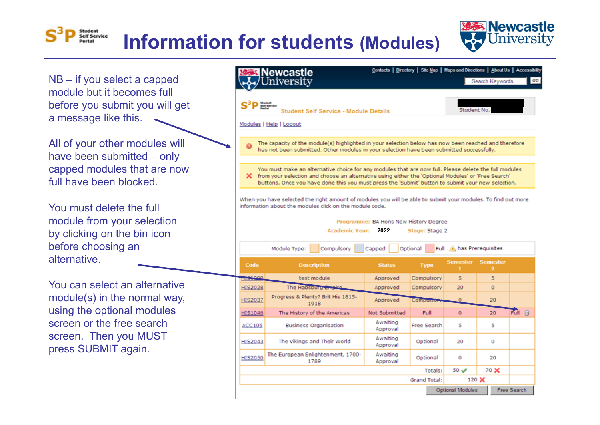

NB – if you select a capped module but it becomes full before you submit you will get a message like this.

Student Self Service

All of your other modules will have been submitted – only capped modules that are now full have been blocked.

You must delete the full module from your selection by clicking on the bin icon before choosing an alternative.

You can select an alternative module(s) in the normal way, using the optional modules screen or the free search screen. Then you MUST press SUBMIT again.

#### Contacts | Directory | Site Map | Maps and Directions | About Us | Accessibility lewcastle Jniversity .Search Keywords GO **Student No Student Self Service - Module Details** Modules | Help | Logout The capacity of the module(s) highlighted in your selection below has now been reached and therefore has not been submitted. Other modules in your selection have been submitted successfully. You must make an alternative choice for any modules that are now full. Please delete the full modules X from your selection and choose an alternative using either the 'Optional Modules' or 'Free Search' buttons. Once you have done this you must press the 'Submit' button to submit your new selection. When you have selected the right amount of modules you will be able to submit your modules. To find out more information about the modules click on the module code. Programme: BA Hons New History Degree Academic Year: 2022 Stage: Stage 2 Module Type: Compulsory Optional Full A has Prerequisites Capped **Semester** Semester Code **Description Status Type** 1151000 test module Approved Compulsory  $5<sup>1</sup>$ 5  $\Omega$ **HIS2028** The Habsburg Empi Approved Compulsory 20 Progress & Plenty? Brit His 1815-**HIS2037** 20 Approved  $\Omega$ 1918 Full Fil  $\mathbf{O}$ **HIS1046** The History of the Americas Not Submitted Full 20 Awaiting **ACC105 Business Organisation** Free Search 5 5 Approval Awaiting **HIS2043** The Vikings and Their World Optional 20  $\bullet$ Approval The European Enlightenment, 1700-Awaiting **HIS2050** Optional  $\Omega$ 20 1789 Approval  $50<sub>4</sub>$ 70 X Totals: **Grand Total:** 120 X **Optional Modules** Free Search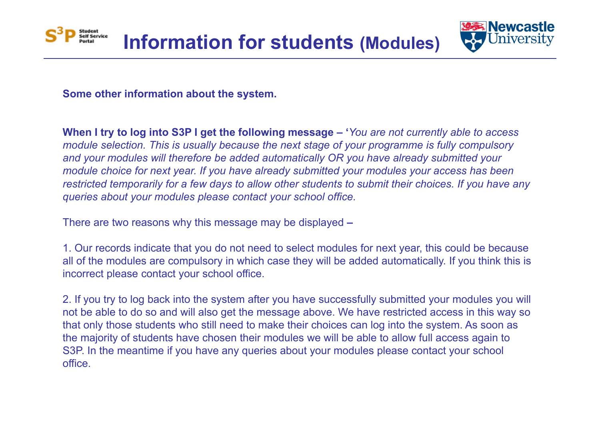



**Some other information about the system.**

**When I try to log into S3P I get the following message – '***You are not currently able to access module selection. This is usually because the next stage of your programme is fully compulsory and your modules will therefore be added automatically OR you have already submitted your module choice for next year. If you have already submitted your modules your access has been restricted temporarily for a few days to allow other students to submit their choices. If you have any queries about your modules please contact your school office.*

There are two reasons why this message may be displayed **–**

1. Our records indicate that you do not need to select modules for next year, this could be because all of the modules are compulsory in which case they will be added automatically. If you think this is incorrect please contact your school office.

2. If you try to log back into the system after you have successfully submitted your modules you will not be able to do so and will also get the message above. We have restricted access in this way so that only those students who still need to make their choices can log into the system. As soon as the majority of students have chosen their modules we will be able to allow full access again to S3P. In the meantime if you have any queries about your modules please contact your school office.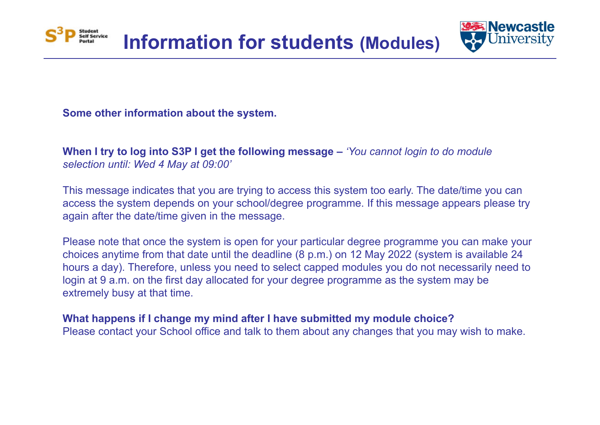



**Some other information about the system.**

**When I try to log into S3P I get the following message –** *'You cannot login to do module selection until: Wed 4 May at 09:00'*

This message indicates that you are trying to access this system too early. The date/time you can access the system depends on your school/degree programme. If this message appears please try again after the date/time given in the message.

Please note that once the system is open for your particular degree programme you can make your choices anytime from that date until the deadline (8 p.m.) on 12 May 2022 (system is available 24 hours a day). Therefore, unless you need to select capped modules you do not necessarily need to login at 9 a.m. on the first day allocated for your degree programme as the system may be extremely busy at that time.

**What happens if I change my mind after I have submitted my module choice?**

Please contact your School office and talk to them about any changes that you may wish to make.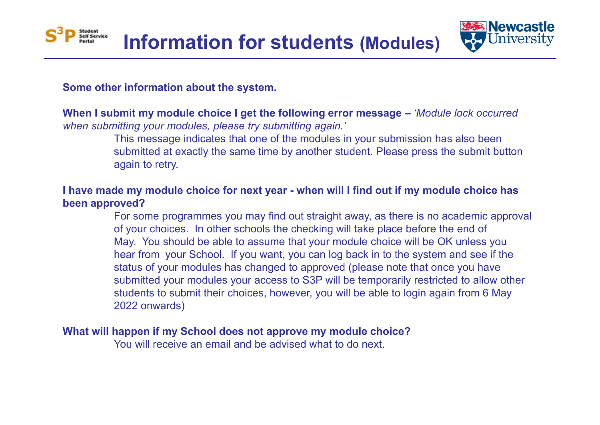



### **Some other information about the system.**

**When I submit my module choice I get the following error message –** *'Module lock occurred when submitting your modules, please try submitting again.'*

> This message indicates that one of the modules in your submission has also been submitted at exactly the same time by another student. Please press the submit button again to retry.

## **I have made my module choice for next year - when will I find out if my module choice has been approved?**

For some programmes you may find out straight away, as there is no academic approval of your choices. In other schools the checking will take place before the end of May. You should be able to assume that your module choice will be OK unless you hear from your School. If you want, you can log back in to the system and see if the status of your modules has changed to approved (please note that once you have submitted your modules your access to S3P will be temporarily restricted to allow other students to submit their choices, however, you will be able to login again from 6 May 2022 onwards)

### **What will happen if my School does not approve my module choice?**

You will receive an email and be advised what to do next.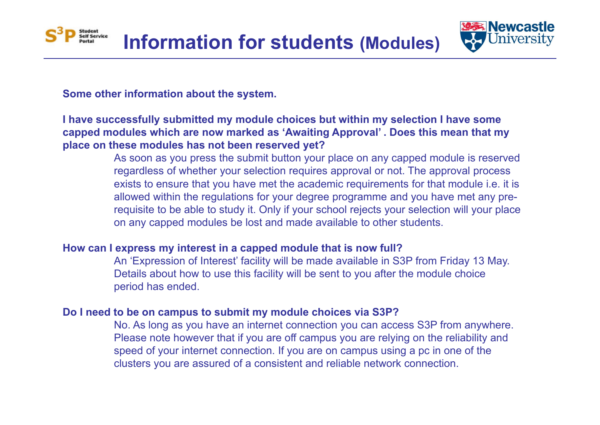

## **Some other information about the system.**

Student<br>Self Service

## **I have successfully submitted my module choices but within my selection I have some capped modules which are now marked as 'Awaiting Approval' . Does this mean that my place on these modules has not been reserved yet?**

As soon as you press the submit button your place on any capped module is reserved regardless of whether your selection requires approval or not. The approval process exists to ensure that you have met the academic requirements for that module i.e. it is allowed within the regulations for your degree programme and you have met any prerequisite to be able to study it. Only if your school rejects your selection will your place on any capped modules be lost and made available to other students.

### **How can I express my interest in a capped module that is now full?**

An 'Expression of Interest' facility will be made available in S3P from Friday 13 May. Details about how to use this facility will be sent to you after the module choice period has ended.

### **Do I need to be on campus to submit my module choices via S3P?**

No. As long as you have an internet connection you can access S3P from anywhere. Please note however that if you are off campus you are relying on the reliability and speed of your internet connection. If you are on campus using a pc in one of the clusters you are assured of a consistent and reliable network connection.